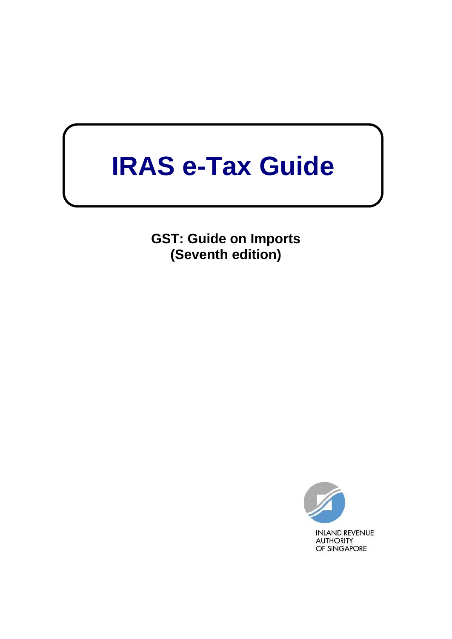# **IRAS e-Tax Guide**

**GST: Guide on Imports (Seventh edition)**

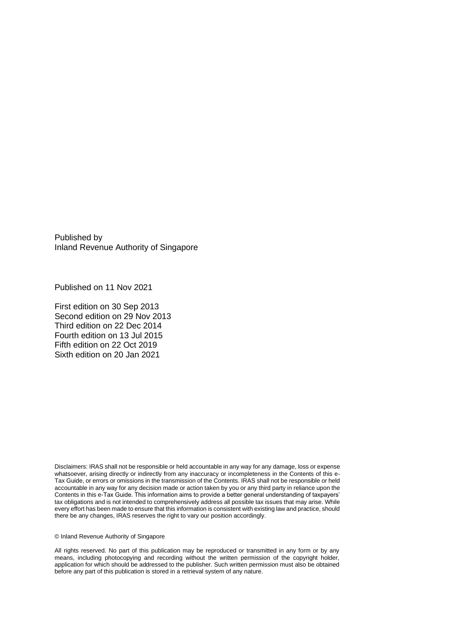Published by Inland Revenue Authority of Singapore

Published on 11 Nov 2021

First edition on 30 Sep 2013 Second edition on 29 Nov 2013 Third edition on 22 Dec 2014 Fourth edition on 13 Jul 2015 Fifth edition on 22 Oct 2019 Sixth edition on 20 Jan 2021

Disclaimers: IRAS shall not be responsible or held accountable in any way for any damage, loss or expense whatsoever, arising directly or indirectly from any inaccuracy or incompleteness in the Contents of this e-Tax Guide, or errors or omissions in the transmission of the Contents. IRAS shall not be responsible or held accountable in any way for any decision made or action taken by you or any third party in reliance upon the Contents in this e-Tax Guide. This information aims to provide a better general understanding of taxpayers' tax obligations and is not intended to comprehensively address all possible tax issues that may arise. While every effort has been made to ensure that this information is consistent with existing law and practice, should there be any changes, IRAS reserves the right to vary our position accordingly.

© Inland Revenue Authority of Singapore

All rights reserved. No part of this publication may be reproduced or transmitted in any form or by any means, including photocopying and recording without the written permission of the copyright holder, application for which should be addressed to the publisher. Such written permission must also be obtained before any part of this publication is stored in a retrieval system of any nature.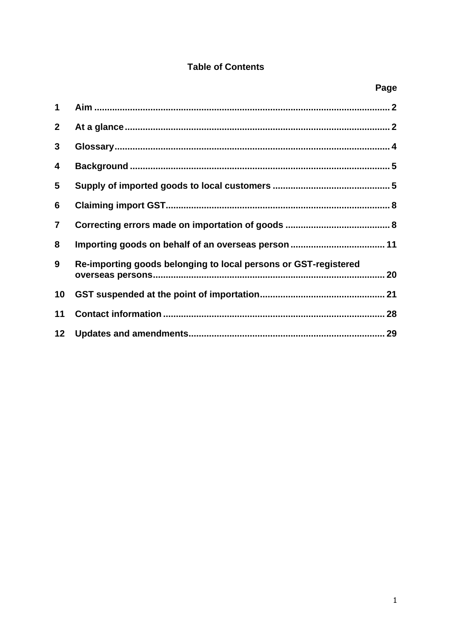# **Table of Contents**

| 1               |                                                                 |  |
|-----------------|-----------------------------------------------------------------|--|
| $\mathbf{2}$    |                                                                 |  |
| 3               |                                                                 |  |
| 4               |                                                                 |  |
| 5               |                                                                 |  |
| 6               |                                                                 |  |
| $\overline{7}$  |                                                                 |  |
| 8               |                                                                 |  |
| 9               | Re-importing goods belonging to local persons or GST-registered |  |
| 10              |                                                                 |  |
| 11              |                                                                 |  |
| 12 <sub>2</sub> |                                                                 |  |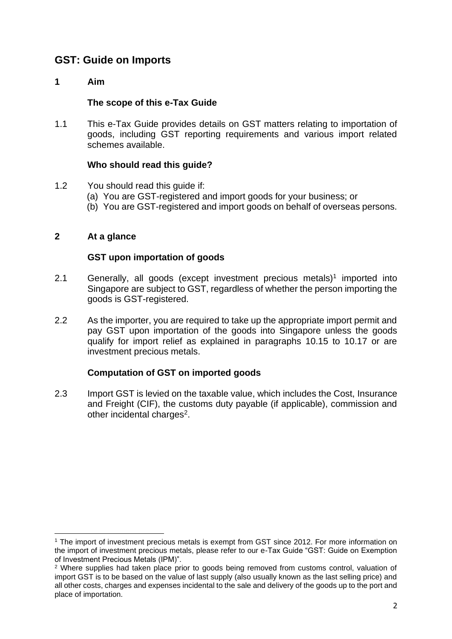# <span id="page-3-0"></span>**GST: Guide on Imports**

# **1 Aim**

#### **The scope of this e-Tax Guide**

1.1 This e-Tax Guide provides details on GST matters relating to importation of goods, including GST reporting requirements and various import related schemes available.

#### **Who should read this guide?**

- 1.2 You should read this guide if:
	- (a) You are GST-registered and import goods for your business; or
	- (b) You are GST-registered and import goods on behalf of overseas persons.

## <span id="page-3-1"></span>**2 At a glance**

## **GST upon importation of goods**

- 2.1 Generally, all goods (except investment precious metals)<sup>1</sup> imported into Singapore are subject to GST, regardless of whether the person importing the goods is GST-registered.
- 2.2 As the importer, you are required to take up the appropriate import permit and pay GST upon importation of the goods into Singapore unless the goods qualify for import relief as explained in paragraphs 10.15 to 10.17 or are investment precious metals.

# **Computation of GST on imported goods**

2.3 Import GST is levied on the taxable value, which includes the Cost, Insurance and Freight (CIF), the customs duty payable (if applicable), commission and other incidental charges<sup>2</sup>.

<sup>1</sup> The import of investment precious metals is exempt from GST since 2012. For more information on the import of investment precious metals, please refer to our e-Tax Guide "GST: Guide on Exemption of Investment Precious Metals (IPM)".

<sup>&</sup>lt;sup>2</sup> Where supplies had taken place prior to goods being removed from customs control, valuation of import GST is to be based on the value of last supply (also usually known as the last selling price) and all other costs, charges and expenses incidental to the sale and delivery of the goods up to the port and place of importation.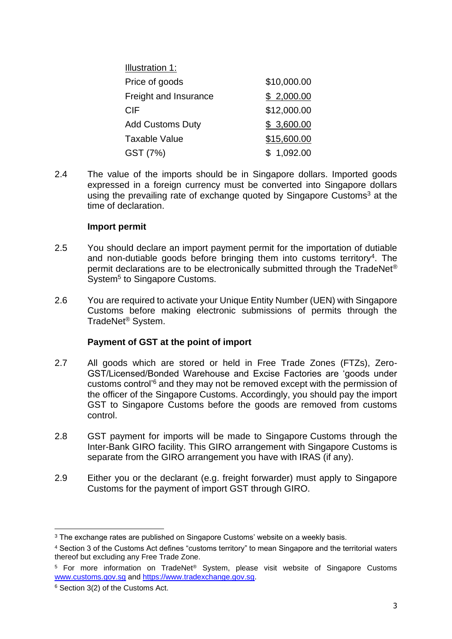| \$10,000.00 |
|-------------|
| \$2,000.00  |
| \$12,000.00 |
| \$3,600.00  |
| \$15,600.00 |
| \$1,092.00  |
|             |

2.4 The value of the imports should be in Singapore dollars. Imported goods expressed in a foreign currency must be converted into Singapore dollars using the prevailing rate of exchange quoted by Singapore Customs<sup>3</sup> at the time of declaration.

#### **Import permit**

- 2.5 You should declare an import payment permit for the importation of dutiable and non-dutiable goods before bringing them into customs territory<sup>4</sup>. The permit declarations are to be electronically submitted through the TradeNet® System<sup>5</sup> to Singapore Customs.
- 2.6 You are required to activate your Unique Entity Number (UEN) with Singapore Customs before making electronic submissions of permits through the TradeNet® System.

# **Payment of GST at the point of import**

- 2.7 All goods which are stored or held in Free Trade Zones (FTZs), Zero-GST/Licensed/Bonded Warehouse and Excise Factories are 'goods under customs control'<sup>6</sup> and they may not be removed except with the permission of the officer of the Singapore Customs. Accordingly, you should pay the import GST to Singapore Customs before the goods are removed from customs control.
- 2.8 GST payment for imports will be made to Singapore Customs through the Inter-Bank GIRO facility. This GIRO arrangement with Singapore Customs is separate from the GIRO arrangement you have with IRAS (if any).
- 2.9 Either you or the declarant (e.g. freight forwarder) must apply to Singapore Customs for the payment of import GST through GIRO.

<sup>&</sup>lt;sup>3</sup> The exchange rates are published on Singapore Customs' website on a weekly basis.

<sup>4</sup> Section 3 of the Customs Act defines "customs territory" to mean Singapore and the territorial waters thereof but excluding any Free Trade Zone.

<sup>&</sup>lt;sup>5</sup> For more information on TradeNet<sup>®</sup> System, please visit website of Singapore Customs [www.customs.gov.sg](http://www.customs.gov.sg/) and [https://www.tradexchange.gov.sg.](https://www.tradexchange.gov.sg/)

<sup>6</sup> Section 3(2) of the Customs Act.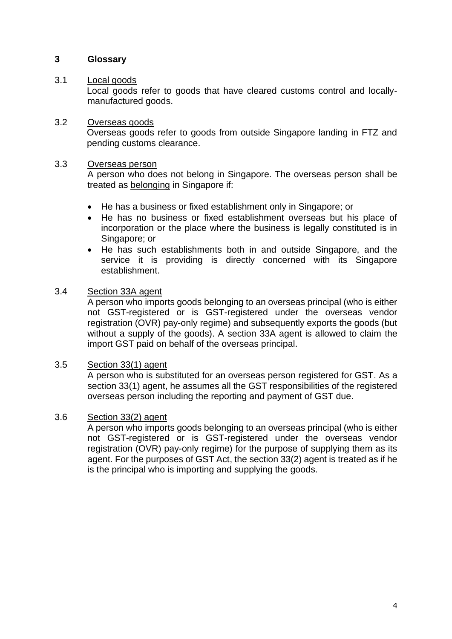#### <span id="page-5-0"></span>**3 Glossary**

#### 3.1 Local goods

Local goods refer to goods that have cleared customs control and locallymanufactured goods.

#### 3.2 Overseas goods

Overseas goods refer to goods from outside Singapore landing in FTZ and pending customs clearance.

#### 3.3 Overseas person

A person who does not belong in Singapore. The overseas person shall be treated as belonging in Singapore if:

- He has a business or fixed establishment only in Singapore; or
- He has no business or fixed establishment overseas but his place of incorporation or the place where the business is legally constituted is in Singapore; or
- He has such establishments both in and outside Singapore, and the service it is providing is directly concerned with its Singapore establishment.

#### 3.4 Section 33A agent

A person who imports goods belonging to an overseas principal (who is either not GST-registered or is GST-registered under the overseas vendor registration (OVR) pay-only regime) and subsequently exports the goods (but without a supply of the goods). A section 33A agent is allowed to claim the import GST paid on behalf of the overseas principal.

#### 3.5 Section 33(1) agent

A person who is substituted for an overseas person registered for GST. As a section 33(1) agent, he assumes all the GST responsibilities of the registered overseas person including the reporting and payment of GST due.

#### 3.6 Section 33(2) agent

A person who imports goods belonging to an overseas principal (who is either not GST-registered or is GST-registered under the overseas vendor registration (OVR) pay-only regime) for the purpose of supplying them as its agent. For the purposes of GST Act, the section 33(2) agent is treated as if he is the principal who is importing and supplying the goods.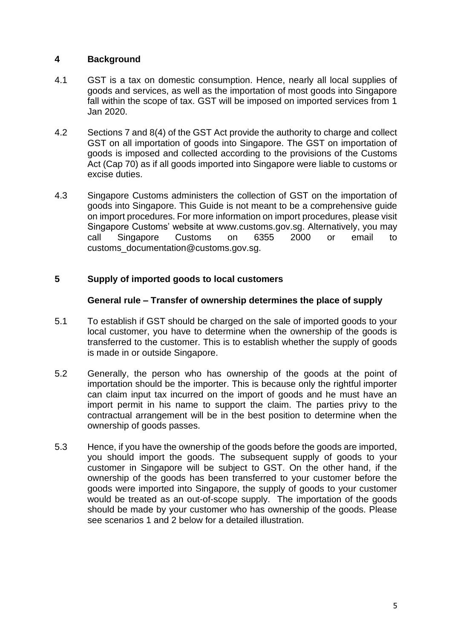# <span id="page-6-0"></span>**4 Background**

- 4.1 GST is a tax on domestic consumption. Hence, nearly all local supplies of goods and services, as well as the importation of most goods into Singapore fall within the scope of tax. GST will be imposed on imported services from 1 Jan 2020.
- 4.2 Sections 7 and 8(4) of the GST Act provide the authority to charge and collect GST on all importation of goods into Singapore. The GST on importation of goods is imposed and collected according to the provisions of the Customs Act (Cap 70) as if all goods imported into Singapore were liable to customs or excise duties.
- 4.3 Singapore Customs administers the collection of GST on the importation of goods into Singapore. This Guide is not meant to be a comprehensive guide on import procedures. For more information on import procedures, please visit Singapore Customs' website at [www.customs.gov.sg.](http://www.customs.gov.sg/) Alternatively, you may call Singapore Customs on 6355 2000 or email to customs\_documentation@customs.gov.sg.

# <span id="page-6-1"></span>**5 Supply of imported goods to local customers**

#### **General rule – Transfer of ownership determines the place of supply**

- 5.1 To establish if GST should be charged on the sale of imported goods to your local customer, you have to determine when the ownership of the goods is transferred to the customer. This is to establish whether the supply of goods is made in or outside Singapore.
- 5.2 Generally, the person who has ownership of the goods at the point of importation should be the importer. This is because only the rightful importer can claim input tax incurred on the import of goods and he must have an import permit in his name to support the claim. The parties privy to the contractual arrangement will be in the best position to determine when the ownership of goods passes.
- 5.3 Hence, if you have the ownership of the goods before the goods are imported, you should import the goods. The subsequent supply of goods to your customer in Singapore will be subject to GST. On the other hand, if the ownership of the goods has been transferred to your customer before the goods were imported into Singapore, the supply of goods to your customer would be treated as an out-of-scope supply. The importation of the goods should be made by your customer who has ownership of the goods. Please see scenarios 1 and 2 below for a detailed illustration.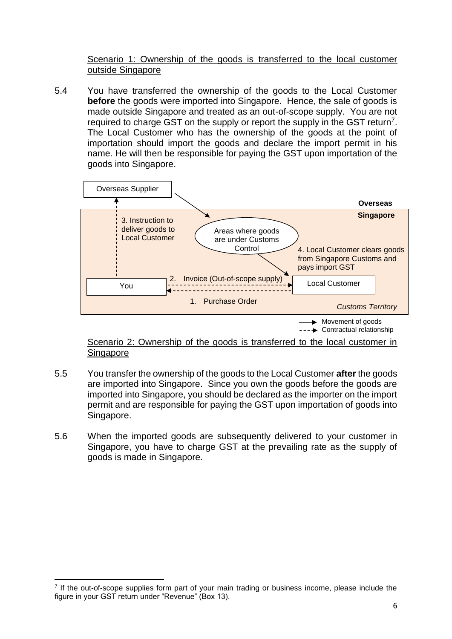#### Scenario 1: Ownership of the goods is transferred to the local customer outside Singapore

5.4 You have transferred the ownership of the goods to the Local Customer **before** the goods were imported into Singapore. Hence, the sale of goods is made outside Singapore and treated as an out-of-scope supply. You are not required to charge GST on the supply or report the supply in the GST return<sup>7</sup>. The Local Customer who has the ownership of the goods at the point of importation should import the goods and declare the import permit in his name. He will then be responsible for paying the GST upon importation of the goods into Singapore.



Scenario 2: Ownership of the goods is transferred to the local customer in Singapore

- 5.5 You transfer the ownership of the goods to the Local Customer **after** the goods are imported into Singapore. Since you own the goods before the goods are imported into Singapore, you should be declared as the importer on the import permit and are responsible for paying the GST upon importation of goods into Singapore.
- 5.6 When the imported goods are subsequently delivered to your customer in Singapore, you have to charge GST at the prevailing rate as the supply of goods is made in Singapore.

<sup>7</sup> If the out-of-scope supplies form part of your main trading or business income, please include the figure in your GST return under "Revenue" (Box 13).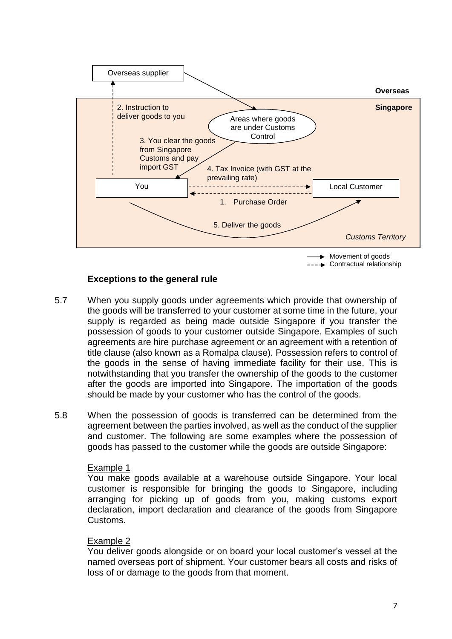

## **Exceptions to the general rule**

- 5.7 When you supply goods under agreements which provide that ownership of the goods will be transferred to your customer at some time in the future, your supply is regarded as being made outside Singapore if you transfer the possession of goods to your customer outside Singapore. Examples of such agreements are hire purchase agreement or an agreement with a retention of title clause (also known as a Romalpa clause). Possession refers to control of the goods in the sense of having immediate facility for their use. This is notwithstanding that you transfer the ownership of the goods to the customer after the goods are imported into Singapore. The importation of the goods should be made by your customer who has the control of the goods.
- 5.8 When the possession of goods is transferred can be determined from the agreement between the parties involved, as well as the conduct of the supplier and customer. The following are some examples where the possession of goods has passed to the customer while the goods are outside Singapore:

#### Example 1

You make goods available at a warehouse outside Singapore. Your local customer is responsible for bringing the goods to Singapore, including arranging for picking up of goods from you, making customs export declaration, import declaration and clearance of the goods from Singapore Customs.

#### Example 2

You deliver goods alongside or on board your local customer's vessel at the named overseas port of shipment. Your customer bears all costs and risks of loss of or damage to the goods from that moment.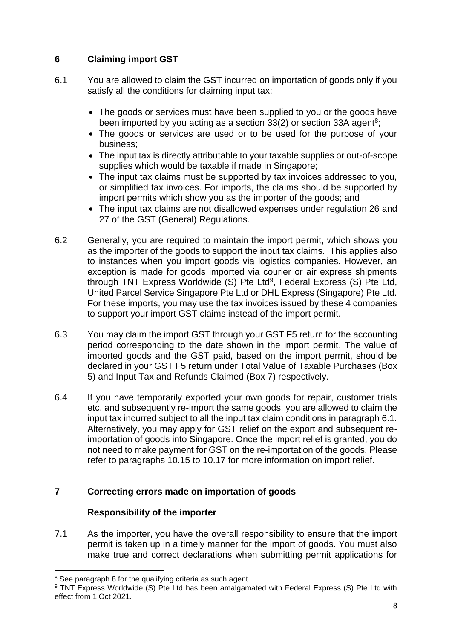# <span id="page-9-0"></span>**6 Claiming import GST**

- 6.1 You are allowed to claim the GST incurred on importation of goods only if you satisfy all the conditions for claiming input tax:
	- The goods or services must have been supplied to you or the goods have been imported by you acting as a section  $33(2)$  or section 33A agent<sup>8</sup>;
	- The goods or services are used or to be used for the purpose of your business;
	- The input tax is directly attributable to your taxable supplies or out-of-scope supplies which would be taxable if made in Singapore;
	- The input tax claims must be supported by tax invoices addressed to you, or simplified tax invoices. For imports, the claims should be supported by import permits which show you as the importer of the goods; and
	- The input tax claims are not disallowed expenses under regulation 26 and 27 of the GST (General) Regulations.
- 6.2 Generally, you are required to maintain the import permit, which shows you as the importer of the goods to support the input tax claims. This applies also to instances when you import goods via logistics companies. However, an exception is made for goods imported via courier or air express shipments through TNT Express Worldwide (S) Pte Ltd<sup>9</sup>, Federal Express (S) Pte Ltd, United Parcel Service Singapore Pte Ltd or DHL Express (Singapore) Pte Ltd. For these imports, you may use the tax invoices issued by these 4 companies to support your import GST claims instead of the import permit.
- 6.3 You may claim the import GST through your GST F5 return for the accounting period corresponding to the date shown in the import permit. The value of imported goods and the GST paid, based on the import permit, should be declared in your GST F5 return under Total Value of Taxable Purchases (Box 5) and Input Tax and Refunds Claimed (Box 7) respectively.
- 6.4 If you have temporarily exported your own goods for repair, customer trials etc, and subsequently re-import the same goods, you are allowed to claim the input tax incurred subject to all the input tax claim conditions in paragraph 6.1. Alternatively, you may apply for GST relief on the export and subsequent reimportation of goods into Singapore. Once the import relief is granted, you do not need to make payment for GST on the re-importation of the goods. Please refer to paragraphs 10.15 to 10.17 for more information on import relief.

# <span id="page-9-1"></span>**7 Correcting errors made on importation of goods**

# **Responsibility of the importer**

7.1 As the importer, you have the overall responsibility to ensure that the import permit is taken up in a timely manner for the import of goods. You must also make true and correct declarations when submitting permit applications for

<sup>&</sup>lt;sup>8</sup> See paragraph 8 for the qualifying criteria as such agent.

<sup>&</sup>lt;sup>9</sup> TNT Express Worldwide (S) Pte Ltd has been amalgamated with Federal Express (S) Pte Ltd with effect from 1 Oct 2021.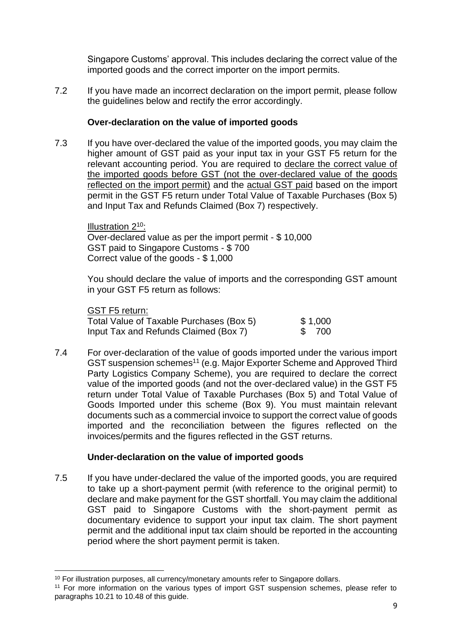Singapore Customs' approval. This includes declaring the correct value of the imported goods and the correct importer on the import permits.

7.2 If you have made an incorrect declaration on the import permit, please follow the guidelines below and rectify the error accordingly.

# **Over-declaration on the value of imported goods**

7.3 If you have over-declared the value of the imported goods, you may claim the higher amount of GST paid as your input tax in your GST F5 return for the relevant accounting period. You are required to declare the correct value of the imported goods before GST (not the over-declared value of the goods reflected on the import permit) and the actual GST paid based on the import permit in the GST F5 return under Total Value of Taxable Purchases (Box 5) and Input Tax and Refunds Claimed (Box 7) respectively.

Illustration 2<sup>10</sup>: Over-declared value as per the import permit - \$ 10,000 GST paid to Singapore Customs - \$ 700 Correct value of the goods - \$ 1,000

You should declare the value of imports and the corresponding GST amount in your GST F5 return as follows:

# GST F5 return:

| _ _                                      |          |
|------------------------------------------|----------|
| Total Value of Taxable Purchases (Box 5) | \$ 1,000 |
| Input Tax and Refunds Claimed (Box 7)    | \$ 700   |

7.4 For over-declaration of the value of goods imported under the various import GST suspension schemes<sup>11</sup> (e.g. Major Exporter Scheme and Approved Third Party Logistics Company Scheme), you are required to declare the correct value of the imported goods (and not the over-declared value) in the GST F5 return under Total Value of Taxable Purchases (Box 5) and Total Value of Goods Imported under this scheme (Box 9). You must maintain relevant documents such as a commercial invoice to support the correct value of goods imported and the reconciliation between the figures reflected on the invoices/permits and the figures reflected in the GST returns.

# **Under-declaration on the value of imported goods**

7.5 If you have under-declared the value of the imported goods, you are required to take up a short-payment permit (with reference to the original permit) to declare and make payment for the GST shortfall. You may claim the additional GST paid to Singapore Customs with the short-payment permit as documentary evidence to support your input tax claim. The short payment permit and the additional input tax claim should be reported in the accounting period where the short payment permit is taken.

<sup>10</sup> For illustration purposes, all currency/monetary amounts refer to Singapore dollars.

<sup>&</sup>lt;sup>11</sup> For more information on the various types of import GST suspension schemes, please refer to paragraphs 10.21 to 10.48 of this guide.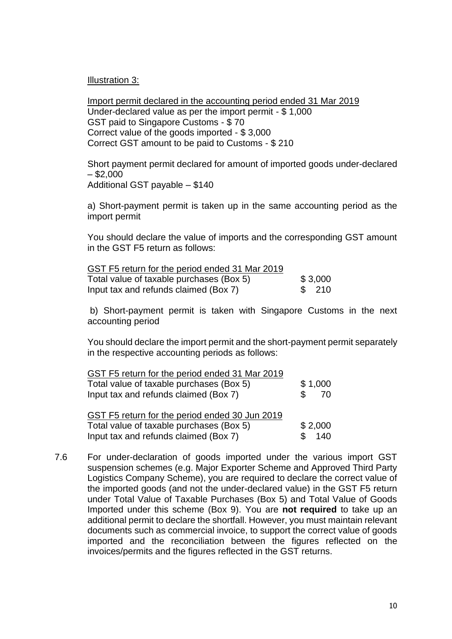Illustration 3:

Import permit declared in the accounting period ended 31 Mar 2019 Under-declared value as per the import permit - \$ 1,000 GST paid to Singapore Customs - \$ 70 Correct value of the goods imported - \$ 3,000 Correct GST amount to be paid to Customs - \$ 210

Short payment permit declared for amount of imported goods under-declared  $-$ \$2,000 Additional GST payable – \$140

a) Short-payment permit is taken up in the same accounting period as the import permit

You should declare the value of imports and the corresponding GST amount in the GST F5 return as follows:

| GST F5 return for the period ended 31 Mar 2019 |         |  |
|------------------------------------------------|---------|--|
| Total value of taxable purchases (Box 5)       | \$3,000 |  |
| Input tax and refunds claimed (Box 7)          | \$ 210  |  |

b) Short-payment permit is taken with Singapore Customs in the next accounting period

You should declare the import permit and the short-payment permit separately in the respective accounting periods as follows:

| GST F5 return for the period ended 31 Mar 2019      |         |  |
|-----------------------------------------------------|---------|--|
| \$1,000<br>Total value of taxable purchases (Box 5) |         |  |
| Input tax and refunds claimed (Box 7)               | 70      |  |
| GST F5 return for the period ended 30 Jun 2019      |         |  |
| Total value of taxable purchases (Box 5)            | \$2,000 |  |
| \$140<br>Input tax and refunds claimed (Box 7)      |         |  |

7.6 For under-declaration of goods imported under the various import GST suspension schemes (e.g. Major Exporter Scheme and Approved Third Party Logistics Company Scheme), you are required to declare the correct value of the imported goods (and not the under-declared value) in the GST F5 return under Total Value of Taxable Purchases (Box 5) and Total Value of Goods Imported under this scheme (Box 9). You are **not required** to take up an additional permit to declare the shortfall. However, you must maintain relevant documents such as commercial invoice, to support the correct value of goods imported and the reconciliation between the figures reflected on the invoices/permits and the figures reflected in the GST returns.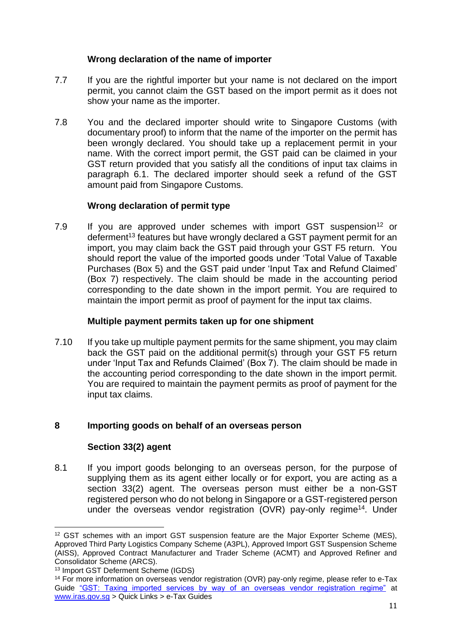## **Wrong declaration of the name of importer**

- 7.7 If you are the rightful importer but your name is not declared on the import permit, you cannot claim the GST based on the import permit as it does not show your name as the importer.
- 7.8 You and the declared importer should write to Singapore Customs (with documentary proof) to inform that the name of the importer on the permit has been wrongly declared. You should take up a replacement permit in your name. With the correct import permit, the GST paid can be claimed in your GST return provided that you satisfy all the conditions of input tax claims in paragraph 6.1. The declared importer should seek a refund of the GST amount paid from Singapore Customs.

## **Wrong declaration of permit type**

7.9 If you are approved under schemes with import GST suspension<sup>12</sup> or deferment<sup>13</sup> features but have wrongly declared a GST payment permit for an import, you may claim back the GST paid through your GST F5 return. You should report the value of the imported goods under 'Total Value of Taxable Purchases (Box 5) and the GST paid under 'Input Tax and Refund Claimed' (Box 7) respectively. The claim should be made in the accounting period corresponding to the date shown in the import permit. You are required to maintain the import permit as proof of payment for the input tax claims.

#### **Multiple payment permits taken up for one shipment**

7.10 If you take up multiple payment permits for the same shipment, you may claim back the GST paid on the additional permit(s) through your GST F5 return under 'Input Tax and Refunds Claimed' (Box 7). The claim should be made in the accounting period corresponding to the date shown in the import permit. You are required to maintain the payment permits as proof of payment for the input tax claims.

# <span id="page-12-0"></span>**8 Importing goods on behalf of an overseas person**

# **Section 33(2) agent**

8.1 If you import goods belonging to an overseas person, for the purpose of supplying them as its agent either locally or for export, you are acting as a section 33(2) agent. The overseas person must either be a non-GST registered person who do not belong in Singapore or a GST-registered person under the overseas vendor registration (OVR) pay-only regime<sup>14</sup>. Under

<sup>&</sup>lt;sup>12</sup> GST schemes with an import GST suspension feature are the Major Exporter Scheme (MES), Approved Third Party Logistics Company Scheme (A3PL), Approved Import GST Suspension Scheme (AISS), Approved Contract Manufacturer and Trader Scheme (ACMT) and Approved Refiner and Consolidator Scheme (ARCS).

<sup>13</sup> Import GST Deferment Scheme (IGDS)

<sup>14</sup> For more information on overseas vendor registration (OVR) pay-only regime, please refer to e-Tax Guide ["GST: Taxing imported services by way of an overseas vendor registration regime"](https://www.iras.gov.sg/irashome/uploadedFiles/IRASHome/e-Tax_Guides/etaxguide_GST_Taxing%20imported%20services%20by%20way%20of%20an%20overseas%20vendor%20registration%20regime.pdf) at [www.iras.gov.sg](http://www.iras.gov.sg/) > Quick Links > e-Tax Guides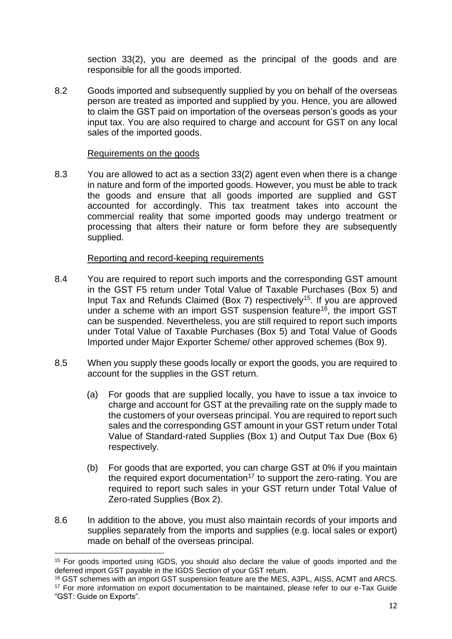section 33(2), you are deemed as the principal of the goods and are responsible for all the goods imported.

8.2 Goods imported and subsequently supplied by you on behalf of the overseas person are treated as imported and supplied by you. Hence, you are allowed to claim the GST paid on importation of the overseas person's goods as your input tax. You are also required to charge and account for GST on any local sales of the imported goods.

#### Requirements on the goods

8.3 You are allowed to act as a section 33(2) agent even when there is a change in nature and form of the imported goods. However, you must be able to track the goods and ensure that all goods imported are supplied and GST accounted for accordingly. This tax treatment takes into account the commercial reality that some imported goods may undergo treatment or processing that alters their nature or form before they are subsequently supplied.

# Reporting and record-keeping requirements

- 8.4 You are required to report such imports and the corresponding GST amount in the GST F5 return under Total Value of Taxable Purchases (Box 5) and Input Tax and Refunds Claimed (Box 7) respectively<sup>15</sup>. If you are approved under a scheme with an import GST suspension feature<sup>16</sup>, the import GST can be suspended. Nevertheless, you are still required to report such imports under Total Value of Taxable Purchases (Box 5) and Total Value of Goods Imported under Major Exporter Scheme/ other approved schemes (Box 9).
- 8.5 When you supply these goods locally or export the goods, you are required to account for the supplies in the GST return.
	- (a) For goods that are supplied locally, you have to issue a tax invoice to charge and account for GST at the prevailing rate on the supply made to the customers of your overseas principal. You are required to report such sales and the corresponding GST amount in your GST return under Total Value of Standard-rated Supplies (Box 1) and Output Tax Due (Box 6) respectively.
	- (b) For goods that are exported, you can charge GST at 0% if you maintain the required export documentation<sup>17</sup> to support the zero-rating. You are required to report such sales in your GST return under Total Value of Zero-rated Supplies (Box 2).
- 8.6 In addition to the above, you must also maintain records of your imports and supplies separately from the imports and supplies (e.g. local sales or export) made on behalf of the overseas principal.

<sup>&</sup>lt;sup>15</sup> For goods imported using IGDS, you should also declare the value of goods imported and the deferred import GST payable in the IGDS Section of your GST return.

<sup>16</sup> GST schemes with an import GST suspension feature are the MES, A3PL, AISS, ACMT and ARCS. <sup>17</sup> For more information on export documentation to be maintained, please refer to our e-Tax Guide "GST: Guide on Exports".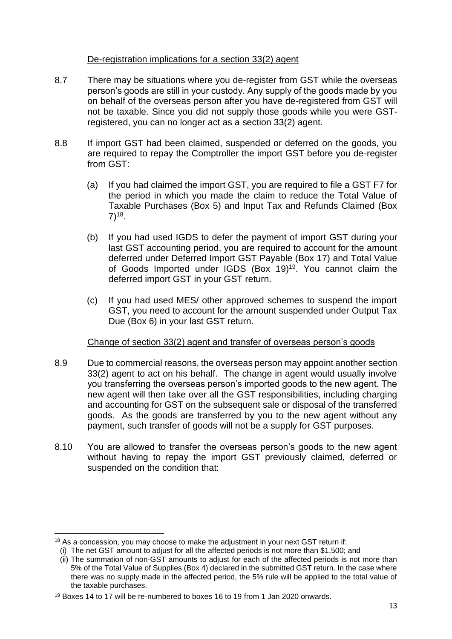#### De-registration implications for a section 33(2) agent

- 8.7 There may be situations where you de-register from GST while the overseas person's goods are still in your custody. Any supply of the goods made by you on behalf of the overseas person after you have de-registered from GST will not be taxable. Since you did not supply those goods while you were GSTregistered, you can no longer act as a section 33(2) agent.
- 8.8 If import GST had been claimed, suspended or deferred on the goods, you are required to repay the Comptroller the import GST before you de-register from GST:
	- (a) If you had claimed the import GST, you are required to file a GST F7 for the period in which you made the claim to reduce the Total Value of Taxable Purchases (Box 5) and Input Tax and Refunds Claimed (Box  $7)^{18}$ .
	- (b) If you had used IGDS to defer the payment of import GST during your last GST accounting period, you are required to account for the amount deferred under Deferred Import GST Payable (Box 17) and Total Value of Goods Imported under IGDS (Box 19)<sup>19</sup>. You cannot claim the deferred import GST in your GST return.
	- (c) If you had used MES/ other approved schemes to suspend the import GST, you need to account for the amount suspended under Output Tax Due (Box 6) in your last GST return.

#### Change of section 33(2) agent and transfer of overseas person's goods

- 8.9 Due to commercial reasons, the overseas person may appoint another section 33(2) agent to act on his behalf. The change in agent would usually involve you transferring the overseas person's imported goods to the new agent. The new agent will then take over all the GST responsibilities, including charging and accounting for GST on the subsequent sale or disposal of the transferred goods. As the goods are transferred by you to the new agent without any payment, such transfer of goods will not be a supply for GST purposes.
- 8.10 You are allowed to transfer the overseas person's goods to the new agent without having to repay the import GST previously claimed, deferred or suspended on the condition that:

<sup>&</sup>lt;sup>18</sup> As a concession, you may choose to make the adjustment in your next GST return if:

<sup>(</sup>i) The net GST amount to adjust for all the affected periods is not more than \$1,500; and

<sup>(</sup>ii) The summation of non-GST amounts to adjust for each of the affected periods is not more than 5% of the Total Value of Supplies (Box 4) declared in the submitted GST return. In the case where there was no supply made in the affected period, the 5% rule will be applied to the total value of the taxable purchases.

<sup>19</sup> Boxes 14 to 17 will be re-numbered to boxes 16 to 19 from 1 Jan 2020 onwards.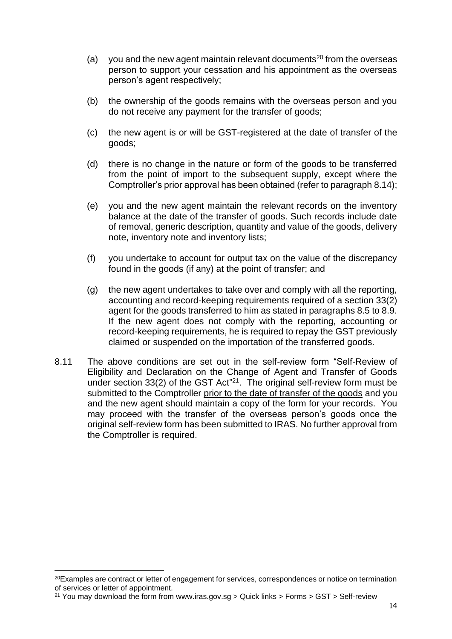- (a) you and the new agent maintain relevant documents<sup>20</sup> from the overseas person to support your cessation and his appointment as the overseas person's agent respectively;
- (b) the ownership of the goods remains with the overseas person and you do not receive any payment for the transfer of goods;
- (c) the new agent is or will be GST-registered at the date of transfer of the goods;
- (d) there is no change in the nature or form of the goods to be transferred from the point of import to the subsequent supply, except where the Comptroller's prior approval has been obtained (refer to paragraph 8.14);
- (e) you and the new agent maintain the relevant records on the inventory balance at the date of the transfer of goods. Such records include date of removal, generic description, quantity and value of the goods, delivery note, inventory note and inventory lists;
- (f) you undertake to account for output tax on the value of the discrepancy found in the goods (if any) at the point of transfer; and
- (g) the new agent undertakes to take over and comply with all the reporting, accounting and record-keeping requirements required of a section 33(2) agent for the goods transferred to him as stated in paragraphs 8.5 to 8.9. If the new agent does not comply with the reporting, accounting or record-keeping requirements, he is required to repay the GST previously claimed or suspended on the importation of the transferred goods.
- 8.11 The above conditions are set out in the self-review form "Self-Review of Eligibility and Declaration on the Change of Agent and Transfer of Goods under section  $33(2)$  of the GST Act<sup>"21</sup>. The original self-review form must be submitted to the Comptroller prior to the date of transfer of the goods and you and the new agent should maintain a copy of the form for your records. You may proceed with the transfer of the overseas person's goods once the original self-review form has been submitted to IRAS. No further approval from the Comptroller is required.

<sup>20</sup>Examples are contract or letter of engagement for services, correspondences or notice on termination of services or letter of appointment.

<sup>&</sup>lt;sup>21</sup> You may download the form from www.iras.gov.sg > Quick links > Forms > GST > Self-review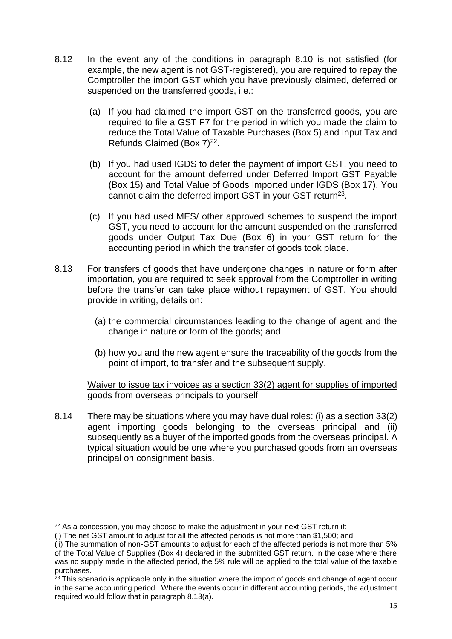- 8.12 In the event any of the conditions in paragraph 8.10 is not satisfied (for example, the new agent is not GST-registered), you are required to repay the Comptroller the import GST which you have previously claimed, deferred or suspended on the transferred goods, i.e.:
	- (a) If you had claimed the import GST on the transferred goods, you are required to file a GST F7 for the period in which you made the claim to reduce the Total Value of Taxable Purchases (Box 5) and Input Tax and Refunds Claimed (Box 7)<sup>22</sup>.
	- (b) If you had used IGDS to defer the payment of import GST, you need to account for the amount deferred under Deferred Import GST Payable (Box 15) and Total Value of Goods Imported under IGDS (Box 17). You cannot claim the deferred import GST in your GST return<sup>23</sup>.
	- (c) If you had used MES/ other approved schemes to suspend the import GST, you need to account for the amount suspended on the transferred goods under Output Tax Due (Box 6) in your GST return for the accounting period in which the transfer of goods took place.
- 8.13 For transfers of goods that have undergone changes in nature or form after importation, you are required to seek approval from the Comptroller in writing before the transfer can take place without repayment of GST. You should provide in writing, details on:
	- (a) the commercial circumstances leading to the change of agent and the change in nature or form of the goods; and
	- (b) how you and the new agent ensure the traceability of the goods from the point of import, to transfer and the subsequent supply.

Waiver to issue tax invoices as a section 33(2) agent for supplies of imported goods from overseas principals to yourself

8.14 There may be situations where you may have dual roles: (i) as a section 33(2) agent importing goods belonging to the overseas principal and (ii) subsequently as a buyer of the imported goods from the overseas principal. A typical situation would be one where you purchased goods from an overseas principal on consignment basis.

 $22$  As a concession, you may choose to make the adjustment in your next GST return if:

<sup>(</sup>i) The net GST amount to adjust for all the affected periods is not more than \$1,500; and

<sup>(</sup>ii) The summation of non-GST amounts to adjust for each of the affected periods is not more than 5% of the Total Value of Supplies (Box 4) declared in the submitted GST return. In the case where there was no supply made in the affected period, the 5% rule will be applied to the total value of the taxable purchases.

<sup>&</sup>lt;sup>23</sup> This scenario is applicable only in the situation where the import of goods and change of agent occur in the same accounting period. Where the events occur in different accounting periods, the adjustment required would follow that in paragraph 8.13(a).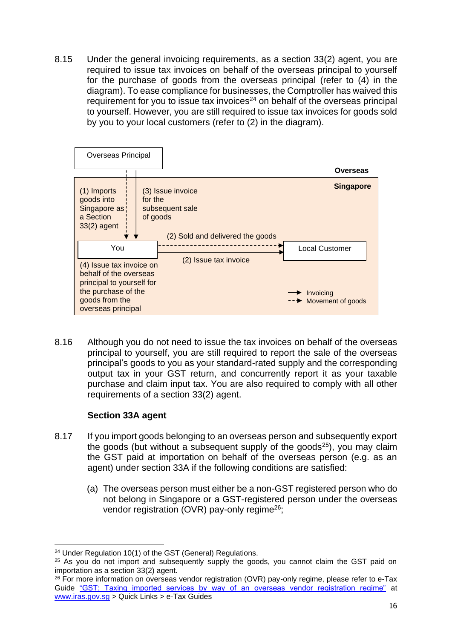8.15 Under the general invoicing requirements, as a section 33(2) agent, you are required to issue tax invoices on behalf of the overseas principal to yourself for the purchase of goods from the overseas principal (refer to (4) in the diagram). To ease compliance for businesses, the Comptroller has waived this requirement for you to issue tax invoices<sup>24</sup> on behalf of the overseas principal to yourself. However, you are still required to issue tax invoices for goods sold by you to your local customers (refer to (2) in the diagram).



8.16 Although you do not need to issue the tax invoices on behalf of the overseas principal to yourself, you are still required to report the sale of the overseas principal's goods to you as your standard-rated supply and the corresponding output tax in your GST return, and concurrently report it as your taxable purchase and claim input tax. You are also required to comply with all other requirements of a section 33(2) agent.

# **Section 33A agent**

- 8.17 If you import goods belonging to an overseas person and subsequently export the goods (but without a subsequent supply of the goods<sup>25</sup>), you may claim the GST paid at importation on behalf of the overseas person (e.g. as an agent) under section 33A if the following conditions are satisfied:
	- (a) The overseas person must either be a non-GST registered person who do not belong in Singapore or a GST-registered person under the overseas vendor registration (OVR) pay-only regime<sup>26</sup>;

<sup>24</sup> Under Regulation 10(1) of the GST (General) Regulations.

<sup>&</sup>lt;sup>25</sup> As you do not import and subsequently supply the goods, you cannot claim the GST paid on importation as a section 33(2) agent.

<sup>&</sup>lt;sup>26</sup> For more information on overseas vendor registration (OVR) pay-only regime, please refer to e-Tax Guide ["GST: Taxing imported services by way of an overseas vendor registration regime"](https://www.iras.gov.sg/irashome/uploadedFiles/IRASHome/e-Tax_Guides/etaxguide_GST_Taxing%20imported%20services%20by%20way%20of%20an%20overseas%20vendor%20registration%20regime.pdf) at [www.iras.gov.sg](http://www.iras.gov.sg/) > Quick Links > e-Tax Guides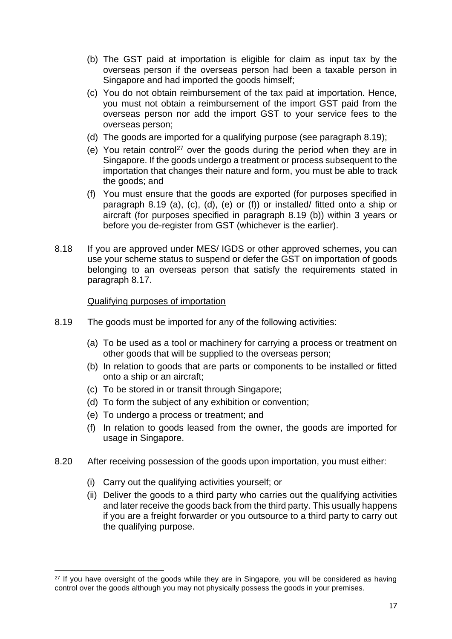- (b) The GST paid at importation is eligible for claim as input tax by the overseas person if the overseas person had been a taxable person in Singapore and had imported the goods himself;
- (c) You do not obtain reimbursement of the tax paid at importation. Hence, you must not obtain a reimbursement of the import GST paid from the overseas person nor add the import GST to your service fees to the overseas person;
- (d) The goods are imported for a qualifying purpose (see paragraph 8.19);
- (e) You retain control<sup>27</sup> over the goods during the period when they are in Singapore. If the goods undergo a treatment or process subsequent to the importation that changes their nature and form, you must be able to track the goods; and
- (f) You must ensure that the goods are exported (for purposes specified in paragraph 8.19 (a), (c), (d), (e) or (f)) or installed/ fitted onto a ship or aircraft (for purposes specified in paragraph 8.19 (b)) within 3 years or before you de-register from GST (whichever is the earlier).
- 8.18 If you are approved under MES/ IGDS or other approved schemes, you can use your scheme status to suspend or defer the GST on importation of goods belonging to an overseas person that satisfy the requirements stated in paragraph 8.17.

#### Qualifying purposes of importation

- 8.19 The goods must be imported for any of the following activities:
	- (a) To be used as a tool or machinery for carrying a process or treatment on other goods that will be supplied to the overseas person;
	- (b) In relation to goods that are parts or components to be installed or fitted onto a ship or an aircraft;
	- (c) To be stored in or transit through Singapore;
	- (d) To form the subject of any exhibition or convention;
	- (e) To undergo a process or treatment; and
	- (f) In relation to goods leased from the owner, the goods are imported for usage in Singapore.
- 8.20 After receiving possession of the goods upon importation, you must either:
	- (i) Carry out the qualifying activities yourself; or
	- (ii) Deliver the goods to a third party who carries out the qualifying activities and later receive the goods back from the third party. This usually happens if you are a freight forwarder or you outsource to a third party to carry out the qualifying purpose.

<sup>&</sup>lt;sup>27</sup> If you have oversight of the goods while they are in Singapore, you will be considered as having control over the goods although you may not physically possess the goods in your premises.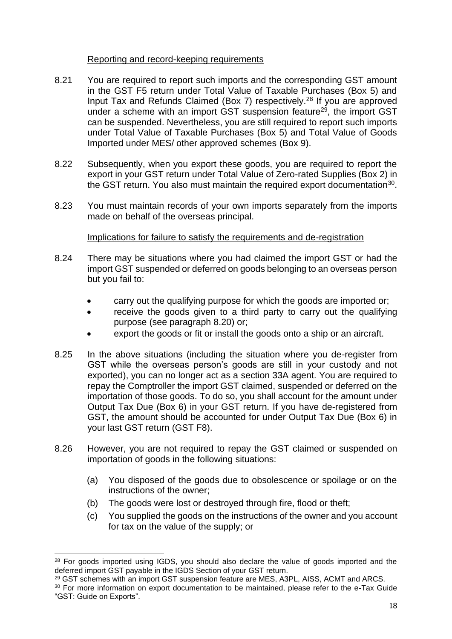#### Reporting and record-keeping requirements

- 8.21 You are required to report such imports and the corresponding GST amount in the GST F5 return under Total Value of Taxable Purchases (Box 5) and Input Tax and Refunds Claimed (Box 7) respectively.<sup>28</sup> If you are approved under a scheme with an import GST suspension feature<sup>29</sup>, the import GST can be suspended. Nevertheless, you are still required to report such imports under Total Value of Taxable Purchases (Box 5) and Total Value of Goods Imported under MES/ other approved schemes (Box 9).
- 8.22 Subsequently, when you export these goods, you are required to report the export in your GST return under Total Value of Zero-rated Supplies (Box 2) in the GST return. You also must maintain the required export documentation $30$ .
- 8.23 You must maintain records of your own imports separately from the imports made on behalf of the overseas principal.

# Implications for failure to satisfy the requirements and de-registration

- 8.24 There may be situations where you had claimed the import GST or had the import GST suspended or deferred on goods belonging to an overseas person but you fail to:
	- carry out the qualifying purpose for which the goods are imported or;
	- receive the goods given to a third party to carry out the qualifying purpose (see paragraph 8.20) or;
	- export the goods or fit or install the goods onto a ship or an aircraft.
- 8.25 In the above situations (including the situation where you de-register from GST while the overseas person's goods are still in your custody and not exported), you can no longer act as a section 33A agent. You are required to repay the Comptroller the import GST claimed, suspended or deferred on the importation of those goods. To do so, you shall account for the amount under Output Tax Due (Box 6) in your GST return. If you have de-registered from GST, the amount should be accounted for under Output Tax Due (Box 6) in your last GST return (GST F8).
- 8.26 However, you are not required to repay the GST claimed or suspended on importation of goods in the following situations:
	- (a) You disposed of the goods due to obsolescence or spoilage or on the instructions of the owner;
	- (b) The goods were lost or destroyed through fire, flood or theft;
	- (c) You supplied the goods on the instructions of the owner and you account for tax on the value of the supply; or

<sup>&</sup>lt;sup>28</sup> For goods imported using IGDS, you should also declare the value of goods imported and the deferred import GST payable in the IGDS Section of your GST return.

<sup>&</sup>lt;sup>29</sup> GST schemes with an import GST suspension feature are MES, A3PL, AISS, ACMT and ARCS.

<sup>&</sup>lt;sup>30</sup> For more information on export documentation to be maintained, please refer to the e-Tax Guide "GST: Guide on Exports".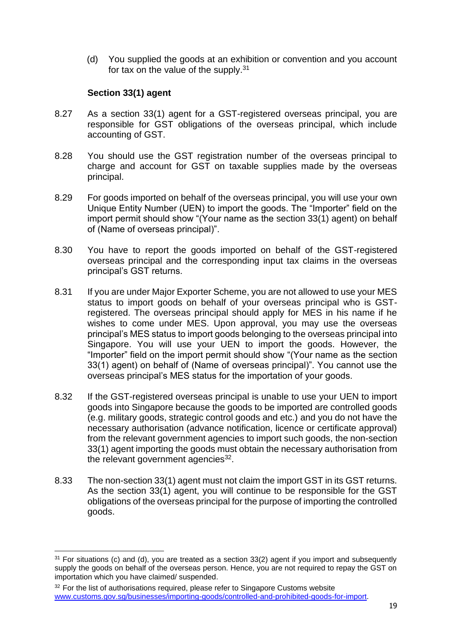(d) You supplied the goods at an exhibition or convention and you account for tax on the value of the supply.<sup>31</sup>

# **Section 33(1) agent**

- 8.27 As a section 33(1) agent for a GST-registered overseas principal, you are responsible for GST obligations of the overseas principal, which include accounting of GST.
- 8.28 You should use the GST registration number of the overseas principal to charge and account for GST on taxable supplies made by the overseas principal.
- 8.29 For goods imported on behalf of the overseas principal, you will use your own Unique Entity Number (UEN) to import the goods. The "Importer" field on the import permit should show "(Your name as the section 33(1) agent) on behalf of (Name of overseas principal)".
- 8.30 You have to report the goods imported on behalf of the GST-registered overseas principal and the corresponding input tax claims in the overseas principal's GST returns.
- 8.31 If you are under Major Exporter Scheme, you are not allowed to use your MES status to import goods on behalf of your overseas principal who is GSTregistered. The overseas principal should apply for MES in his name if he wishes to come under MES. Upon approval, you may use the overseas principal's MES status to import goods belonging to the overseas principal into Singapore. You will use your UEN to import the goods. However, the "Importer" field on the import permit should show "(Your name as the section 33(1) agent) on behalf of (Name of overseas principal)". You cannot use the overseas principal's MES status for the importation of your goods.
- 8.32 If the GST-registered overseas principal is unable to use your UEN to import goods into Singapore because the goods to be imported are controlled goods (e.g. military goods, strategic control goods and etc.) and you do not have the necessary authorisation (advance notification, licence or certificate approval) from the relevant government agencies to import such goods, the non-section 33(1) agent importing the goods must obtain the necessary authorisation from the relevant government agencies $32$ .
- 8.33 The non-section 33(1) agent must not claim the import GST in its GST returns. As the section 33(1) agent, you will continue to be responsible for the GST obligations of the overseas principal for the purpose of importing the controlled goods.

<sup>31</sup> For situations (c) and (d), you are treated as a section 33(2) agent if you import and subsequently supply the goods on behalf of the overseas person. Hence, you are not required to repay the GST on importation which you have claimed/ suspended.

<sup>&</sup>lt;sup>32</sup> For the list of authorisations required, please refer to Singapore Customs website [www.customs.gov.sg/businesses/importing-goods/controlled-and-prohibited-goods-for-import.](http://www.customs.gov.sg/businesses/importing-goods/controlled-and-prohibited-goods-for-import)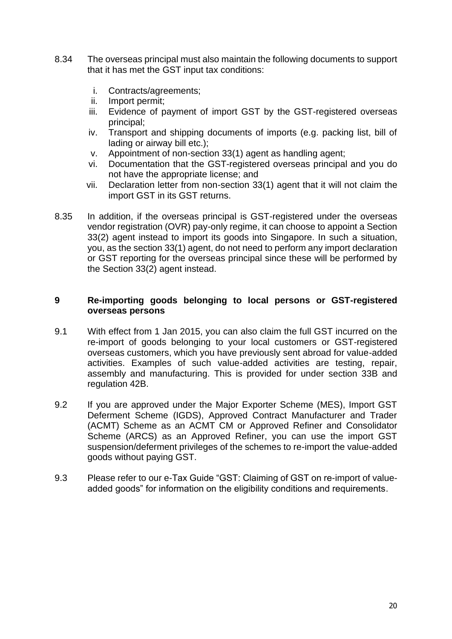- 8.34 The overseas principal must also maintain the following documents to support that it has met the GST input tax conditions:
	- i. Contracts/agreements;
	- ii. Import permit;
	- iii. Evidence of payment of import GST by the GST-registered overseas principal;
	- iv. Transport and shipping documents of imports (e.g. packing list, bill of lading or airway bill etc.);
	- v. Appointment of non-section 33(1) agent as handling agent;
	- vi. Documentation that the GST-registered overseas principal and you do not have the appropriate license; and
	- vii. Declaration letter from non-section 33(1) agent that it will not claim the import GST in its GST returns.
- 8.35 In addition, if the overseas principal is GST-registered under the overseas vendor registration (OVR) pay-only regime, it can choose to appoint a Section 33(2) agent instead to import its goods into Singapore. In such a situation, you, as the section 33(1) agent, do not need to perform any import declaration or GST reporting for the overseas principal since these will be performed by the Section 33(2) agent instead.

#### <span id="page-21-0"></span>**9 Re-importing goods belonging to local persons or GST-registered overseas persons**

- 9.1 With effect from 1 Jan 2015, you can also claim the full GST incurred on the re-import of goods belonging to your local customers or GST-registered overseas customers, which you have previously sent abroad for value-added activities. Examples of such value-added activities are testing, repair, assembly and manufacturing. This is provided for under section 33B and regulation 42B.
- 9.2 If you are approved under the Major Exporter Scheme (MES), Import GST Deferment Scheme (IGDS), Approved Contract Manufacturer and Trader (ACMT) Scheme as an ACMT CM or Approved Refiner and Consolidator Scheme (ARCS) as an Approved Refiner, you can use the import GST suspension/deferment privileges of the schemes to re-import the value-added goods without paying GST.
- 9.3 Please refer to our e-Tax Guide "GST: Claiming of GST on re-import of valueadded goods" for information on the eligibility conditions and requirements.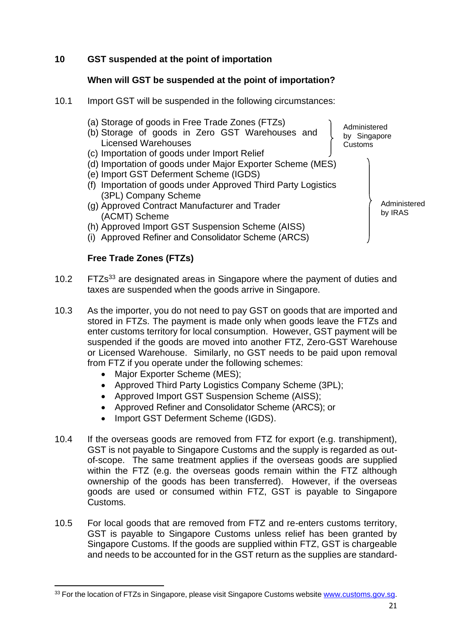# <span id="page-22-0"></span>**10 GST suspended at the point of importation**

## **When will GST be suspended at the point of importation?**

- 10.1 Import GST will be suspended in the following circumstances:
	- (a) Storage of goods in Free Trade Zones (FTZs)
	- (b) Storage of goods in Zero GST Warehouses and Licensed Warehouses
	- (c) Importation of goods under Import Relief
	- (d) Importation of goods under Major Exporter Scheme (MES)
	- (e) Import GST Deferment Scheme (IGDS)
	- (f) Importation of goods under Approved Third Party Logistics (3PL) Company Scheme
	- (g) Approved Contract Manufacturer and Trader (ACMT) Scheme
	- (h) Approved Import GST Suspension Scheme (AISS)
	- (i) Approved Refiner and Consolidator Scheme (ARCS)

#### **Free Trade Zones (FTZs)**

- 10.2 FTZs<sup>33</sup> are designated areas in Singapore where the payment of duties and taxes are suspended when the goods arrive in Singapore.
- 10.3 As the importer, you do not need to pay GST on goods that are imported and stored in FTZs. The payment is made only when goods leave the FTZs and enter customs territory for local consumption. However, GST payment will be suspended if the goods are moved into another FTZ, Zero-GST Warehouse or Licensed Warehouse. Similarly, no GST needs to be paid upon removal from FTZ if you operate under the following schemes:
	- Major Exporter Scheme (MES);
	- Approved Third Party Logistics Company Scheme (3PL);
	- Approved Import GST Suspension Scheme (AISS);
	- Approved Refiner and Consolidator Scheme (ARCS); or
	- Import GST Deferment Scheme (IGDS).
- 10.4 If the overseas goods are removed from FTZ for export (e.g. transhipment), GST is not payable to Singapore Customs and the supply is regarded as outof-scope. The same treatment applies if the overseas goods are supplied within the FTZ (e.g. the overseas goods remain within the FTZ although ownership of the goods has been transferred). However, if the overseas goods are used or consumed within FTZ, GST is payable to Singapore Customs.
- 10.5 For local goods that are removed from FTZ and re-enters customs territory, GST is payable to Singapore Customs unless relief has been granted by Singapore Customs. If the goods are supplied within FTZ, GST is chargeable and needs to be accounted for in the GST return as the supplies are standard-

Administered by Singapore Customs

> Administered by IRAS

<sup>33</sup> For the location of FTZs in Singapore, please visit Singapore Customs website [www.customs.gov.sg.](http://www.customs.gov.sg/)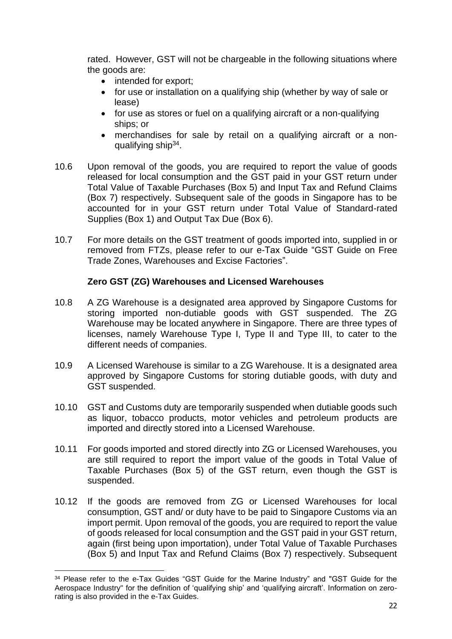rated. However, GST will not be chargeable in the following situations where the goods are:

- intended for export:
- for use or installation on a qualifying ship (whether by way of sale or lease)
- for use as stores or fuel on a qualifying aircraft or a non-qualifying ships; or
- merchandises for sale by retail on a qualifying aircraft or a nonqualifying ship<sup>34</sup>.
- 10.6 Upon removal of the goods, you are required to report the value of goods released for local consumption and the GST paid in your GST return under Total Value of Taxable Purchases (Box 5) and Input Tax and Refund Claims (Box 7) respectively. Subsequent sale of the goods in Singapore has to be accounted for in your GST return under Total Value of Standard-rated Supplies (Box 1) and Output Tax Due (Box 6).
- 10.7 For more details on the GST treatment of goods imported into, supplied in or removed from FTZs, please refer to our e-Tax Guide "GST Guide on Free Trade Zones, Warehouses and Excise Factories".

# **Zero GST (ZG) Warehouses and Licensed Warehouses**

- 10.8 A ZG Warehouse is a designated area approved by Singapore Customs for storing imported non-dutiable goods with GST suspended. The ZG Warehouse may be located anywhere in Singapore. There are three types of licenses, namely Warehouse Type I, Type II and Type III, to cater to the different needs of companies.
- 10.9 A Licensed Warehouse is similar to a ZG Warehouse. It is a designated area approved by Singapore Customs for storing dutiable goods, with duty and GST suspended.
- 10.10 GST and Customs duty are temporarily suspended when dutiable goods such as liquor, tobacco products, motor vehicles and petroleum products are imported and directly stored into a Licensed Warehouse.
- 10.11 For goods imported and stored directly into ZG or Licensed Warehouses, you are still required to report the import value of the goods in Total Value of Taxable Purchases (Box 5) of the GST return, even though the GST is suspended.
- 10.12 If the goods are removed from ZG or Licensed Warehouses for local consumption, GST and/ or duty have to be paid to Singapore Customs via an import permit. Upon removal of the goods, you are required to report the value of goods released for local consumption and the GST paid in your GST return, again (first being upon importation), under Total Value of Taxable Purchases (Box 5) and Input Tax and Refund Claims (Box 7) respectively. Subsequent

<sup>&</sup>lt;sup>34</sup> Please refer to the e-Tax Guides "GST Guide for the Marine Industry" and "GST Guide for the Aerospace Industry" for the definition of 'qualifying ship' and 'qualifying aircraft'. Information on zerorating is also provided in the e-Tax Guides.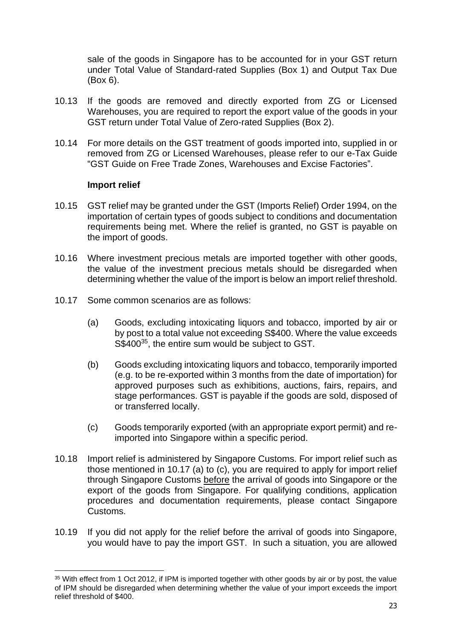sale of the goods in Singapore has to be accounted for in your GST return under Total Value of Standard-rated Supplies (Box 1) and Output Tax Due (Box 6).

- 10.13 If the goods are removed and directly exported from ZG or Licensed Warehouses, you are required to report the export value of the goods in your GST return under Total Value of Zero-rated Supplies (Box 2).
- 10.14 For more details on the GST treatment of goods imported into, supplied in or removed from ZG or Licensed Warehouses, please refer to our e-Tax Guide "GST Guide on Free Trade Zones, Warehouses and Excise Factories".

#### **Import relief**

- 10.15 GST relief may be granted under the GST (Imports Relief) Order 1994, on the importation of certain types of goods subject to conditions and documentation requirements being met. Where the relief is granted, no GST is payable on the import of goods.
- 10.16 Where investment precious metals are imported together with other goods, the value of the investment precious metals should be disregarded when determining whether the value of the import is below an import relief threshold.
- 10.17 Some common scenarios are as follows:
	- (a) Goods, excluding intoxicating liquors and tobacco, imported by air or by post to a total value not exceeding S\$400. Where the value exceeds S\$400<sup>35</sup>, the entire sum would be subject to GST.
	- (b) Goods excluding intoxicating liquors and tobacco, temporarily imported (e.g. to be re-exported within 3 months from the date of importation) for approved purposes such as exhibitions, auctions, fairs, repairs, and stage performances. GST is payable if the goods are sold, disposed of or transferred locally.
	- (c) Goods temporarily exported (with an appropriate export permit) and reimported into Singapore within a specific period.
- 10.18 Import relief is administered by Singapore Customs. For import relief such as those mentioned in 10.17 (a) to (c), you are required to apply for import relief through Singapore Customs before the arrival of goods into Singapore or the export of the goods from Singapore. For qualifying conditions, application procedures and documentation requirements, please contact Singapore Customs.
- 10.19 If you did not apply for the relief before the arrival of goods into Singapore, you would have to pay the import GST. In such a situation, you are allowed

<sup>&</sup>lt;sup>35</sup> With effect from 1 Oct 2012, if IPM is imported together with other goods by air or by post, the value of IPM should be disregarded when determining whether the value of your import exceeds the import relief threshold of \$400.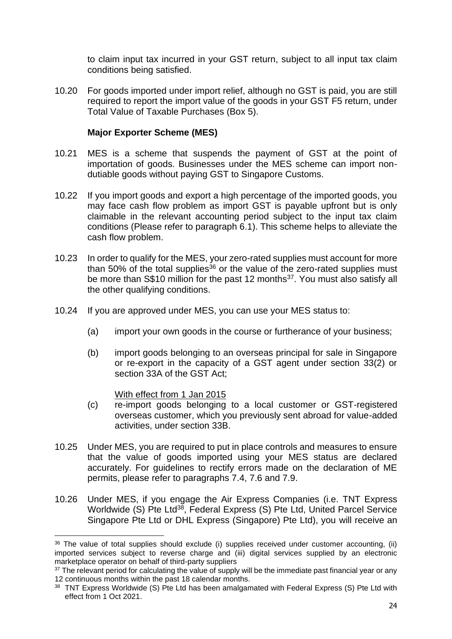to claim input tax incurred in your GST return, subject to all input tax claim conditions being satisfied.

10.20 For goods imported under import relief, although no GST is paid, you are still required to report the import value of the goods in your GST F5 return, under Total Value of Taxable Purchases (Box 5).

#### **Major Exporter Scheme (MES)**

- 10.21 MES is a scheme that suspends the payment of GST at the point of importation of goods. Businesses under the MES scheme can import nondutiable goods without paying GST to Singapore Customs.
- 10.22 If you import goods and export a high percentage of the imported goods, you may face cash flow problem as import GST is payable upfront but is only claimable in the relevant accounting period subject to the input tax claim conditions (Please refer to paragraph 6.1). This scheme helps to alleviate the cash flow problem.
- 10.23 In order to qualify for the MES, your zero-rated supplies must account for more than 50% of the total supplies<sup>36</sup> or the value of the zero-rated supplies must be more than S\$10 million for the past 12 months<sup>37</sup>. You must also satisfy all the other qualifying conditions.
- 10.24 If you are approved under MES, you can use your MES status to:
	- (a) import your own goods in the course or furtherance of your business;
	- (b) import goods belonging to an overseas principal for sale in Singapore or re-export in the capacity of a GST agent under section 33(2) or section 33A of the GST Act;

#### With effect from 1 Jan 2015

- (c) re-import goods belonging to a local customer or GST-registered overseas customer, which you previously sent abroad for value-added activities, under section 33B.
- 10.25 Under MES, you are required to put in place controls and measures to ensure that the value of goods imported using your MES status are declared accurately. For guidelines to rectify errors made on the declaration of ME permits, please refer to paragraphs 7.4, 7.6 and 7.9.
- 10.26 Under MES, if you engage the Air Express Companies (i.e. TNT Express Worldwide (S) Pte Ltd<sup>38</sup>, Federal Express (S) Pte Ltd, United Parcel Service Singapore Pte Ltd or DHL Express (Singapore) Pte Ltd), you will receive an

 $36$  The value of total supplies should exclude (i) supplies received under customer accounting, (ii) imported services subject to reverse charge and (iii) digital services supplied by an electronic marketplace operator on behalf of third-party suppliers

 $37$  The relevant period for calculating the value of supply will be the immediate past financial year or any 12 continuous months within the past 18 calendar months.

<sup>&</sup>lt;sup>38</sup> TNT Express Worldwide (S) Pte Ltd has been amalgamated with Federal Express (S) Pte Ltd with effect from 1 Oct 2021.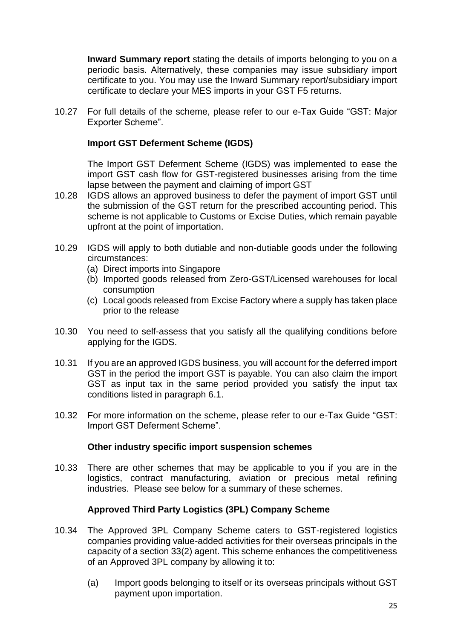**Inward Summary report** stating the details of imports belonging to you on a periodic basis. Alternatively, these companies may issue subsidiary import certificate to you. You may use the Inward Summary report/subsidiary import certificate to declare your MES imports in your GST F5 returns.

10.27 For full details of the scheme, please refer to our e-Tax Guide "GST: Major Exporter Scheme".

# **Import GST Deferment Scheme (IGDS)**

The Import GST Deferment Scheme (IGDS) was implemented to ease the import GST cash flow for GST-registered businesses arising from the time lapse between the payment and claiming of import GST

- 10.28 IGDS allows an approved business to defer the payment of import GST until the submission of the GST return for the prescribed accounting period. This scheme is not applicable to Customs or Excise Duties, which remain payable upfront at the point of importation.
- 10.29 IGDS will apply to both dutiable and non-dutiable goods under the following circumstances:
	- (a) Direct imports into Singapore
	- (b) Imported goods released from Zero-GST/Licensed warehouses for local consumption
	- (c) Local goods released from Excise Factory where a supply has taken place prior to the release
- 10.30 You need to self-assess that you satisfy all the qualifying conditions before applying for the IGDS.
- 10.31 If you are an approved IGDS business, you will account for the deferred import GST in the period the import GST is payable. You can also claim the import GST as input tax in the same period provided you satisfy the input tax conditions listed in paragraph 6.1.
- 10.32 For more information on the scheme, please refer to our e-Tax Guide "GST: Import GST Deferment Scheme".

#### **Other industry specific import suspension schemes**

10.33 There are other schemes that may be applicable to you if you are in the logistics, contract manufacturing, aviation or precious metal refining industries. Please see below for a summary of these schemes.

# **Approved Third Party Logistics (3PL) Company Scheme**

- 10.34 The Approved 3PL Company Scheme caters to GST-registered logistics companies providing value-added activities for their overseas principals in the capacity of a section 33(2) agent. This scheme enhances the competitiveness of an Approved 3PL company by allowing it to:
	- (a) Import goods belonging to itself or its overseas principals without GST payment upon importation.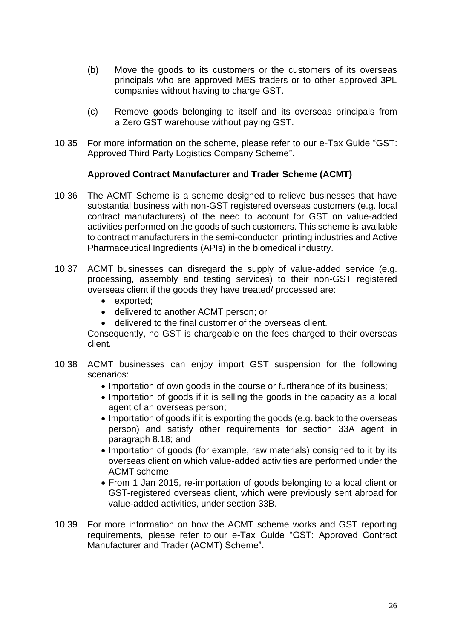- (b) Move the goods to its customers or the customers of its overseas principals who are approved MES traders or to other approved 3PL companies without having to charge GST.
- (c) Remove goods belonging to itself and its overseas principals from a Zero GST warehouse without paying GST.
- 10.35 For more information on the scheme, please refer to our e-Tax Guide "GST: Approved Third Party Logistics Company Scheme".

#### **Approved Contract Manufacturer and Trader Scheme (ACMT)**

- 10.36 The ACMT Scheme is a scheme designed to relieve businesses that have substantial business with non-GST registered overseas customers (e.g. local contract manufacturers) of the need to account for GST on value-added activities performed on the goods of such customers. This scheme is available to contract manufacturers in the semi-conductor, printing industries and Active Pharmaceutical Ingredients (APIs) in the biomedical industry.
- 10.37 ACMT businesses can disregard the supply of value-added service (e.g. processing, assembly and testing services) to their non-GST registered overseas client if the goods they have treated/ processed are:
	- exported;
	- delivered to another ACMT person; or
	- delivered to the final customer of the overseas client.

Consequently, no GST is chargeable on the fees charged to their overseas client.

- 10.38 ACMT businesses can enjoy import GST suspension for the following scenarios:
	- Importation of own goods in the course or furtherance of its business;
	- Importation of goods if it is selling the goods in the capacity as a local agent of an overseas person;
	- Importation of goods if it is exporting the goods (e.g. back to the overseas person) and satisfy other requirements for section 33A agent in paragraph 8.18; and
	- Importation of goods (for example, raw materials) consigned to it by its overseas client on which value-added activities are performed under the ACMT scheme.
	- From 1 Jan 2015, re-importation of goods belonging to a local client or GST-registered overseas client, which were previously sent abroad for value-added activities, under section 33B.
- 10.39 For more information on how the ACMT scheme works and GST reporting requirements, please refer to our e-Tax Guide "GST: Approved Contract Manufacturer and Trader (ACMT) Scheme".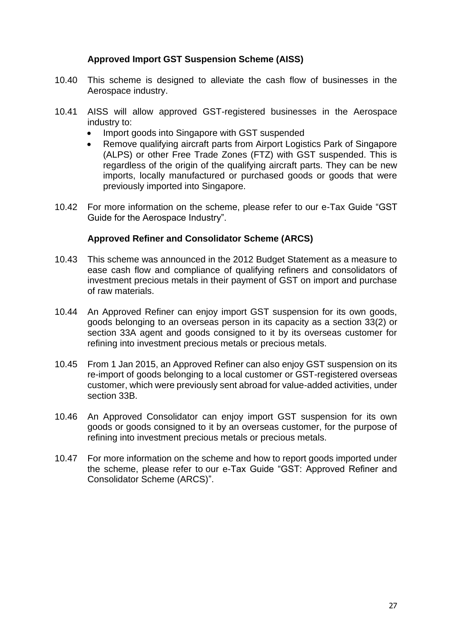## **Approved Import GST Suspension Scheme (AISS)**

- 10.40 This scheme is designed to alleviate the cash flow of businesses in the Aerospace industry.
- 10.41 AISS will allow approved GST-registered businesses in the Aerospace industry to:
	- Import goods into Singapore with GST suspended
	- Remove qualifying aircraft parts from Airport Logistics Park of Singapore (ALPS) or other Free Trade Zones (FTZ) with GST suspended. This is regardless of the origin of the qualifying aircraft parts. They can be new imports, locally manufactured or purchased goods or goods that were previously imported into Singapore.
- 10.42 For more information on the scheme, please refer to our e-Tax Guide "GST Guide for the Aerospace Industry".

## **Approved Refiner and Consolidator Scheme (ARCS)**

- 10.43 This scheme was announced in the 2012 Budget Statement as a measure to ease cash flow and compliance of qualifying refiners and consolidators of investment precious metals in their payment of GST on import and purchase of raw materials.
- 10.44 An Approved Refiner can enjoy import GST suspension for its own goods, goods belonging to an overseas person in its capacity as a section 33(2) or section 33A agent and goods consigned to it by its overseas customer for refining into investment precious metals or precious metals.
- 10.45 From 1 Jan 2015, an Approved Refiner can also enjoy GST suspension on its re-import of goods belonging to a local customer or GST-registered overseas customer, which were previously sent abroad for value-added activities, under section 33B.
- 10.46 An Approved Consolidator can enjoy import GST suspension for its own goods or goods consigned to it by an overseas customer, for the purpose of refining into investment precious metals or precious metals.
- 10.47 For more information on the scheme and how to report goods imported under the scheme, please refer to our e-Tax Guide "GST: Approved Refiner and Consolidator Scheme (ARCS)".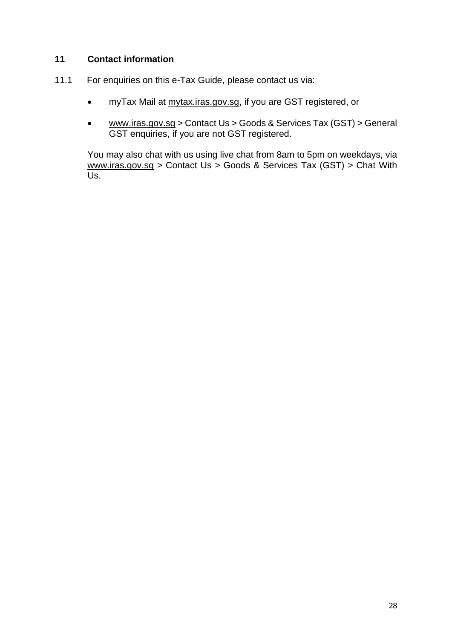# <span id="page-29-0"></span>**11 Contact information**

- 11.1 For enquiries on this e-Tax Guide, please contact us via:
	- myTax Mail at mytax.iras.gov.sg, if you are GST registered, or
	- www.iras.gov.sg > Contact Us > Goods & Services Tax (GST) > General GST enquiries, if you are not GST registered.

You may also chat with us using live chat from 8am to 5pm on weekdays, via www.iras.gov.sg > Contact Us > Goods & Services Tax (GST) > Chat With Us.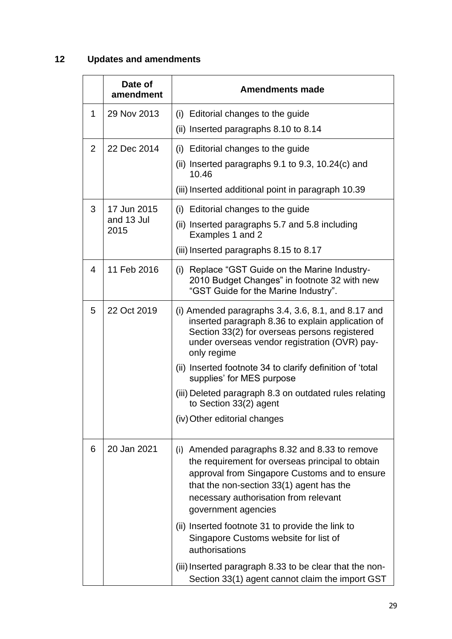# <span id="page-30-0"></span>**12 Updates and amendments**

|   | Date of<br>amendment              | <b>Amendments made</b>                                                                                                                                                                                                                                                                                                                                                           |
|---|-----------------------------------|----------------------------------------------------------------------------------------------------------------------------------------------------------------------------------------------------------------------------------------------------------------------------------------------------------------------------------------------------------------------------------|
| 1 | 29 Nov 2013                       | (i) Editorial changes to the guide<br>(ii) Inserted paragraphs 8.10 to 8.14                                                                                                                                                                                                                                                                                                      |
| 2 | 22 Dec 2014                       | (i) Editorial changes to the guide<br>(ii) Inserted paragraphs $9.1$ to $9.3$ , $10.24(c)$ and<br>10.46<br>(iii) Inserted additional point in paragraph 10.39                                                                                                                                                                                                                    |
| 3 | 17 Jun 2015<br>and 13 Jul<br>2015 | (i) Editorial changes to the guide<br>(ii) Inserted paragraphs 5.7 and 5.8 including<br>Examples 1 and 2<br>(iii) Inserted paragraphs 8.15 to 8.17                                                                                                                                                                                                                               |
| 4 | 11 Feb 2016                       | (i) Replace "GST Guide on the Marine Industry-<br>2010 Budget Changes" in footnote 32 with new<br>"GST Guide for the Marine Industry".                                                                                                                                                                                                                                           |
| 5 | 22 Oct 2019                       | (i) Amended paragraphs $3.4, 3.6, 8.1,$ and $8.17$ and<br>inserted paragraph 8.36 to explain application of<br>Section 33(2) for overseas persons registered<br>under overseas vendor registration (OVR) pay-<br>only regime<br>(ii) Inserted footnote 34 to clarify definition of 'total<br>supplies' for MES purpose<br>(iii) Deleted paragraph 8.3 on outdated rules relating |
|   |                                   | to Section 33(2) agent<br>(iv) Other editorial changes                                                                                                                                                                                                                                                                                                                           |
| 6 | 20 Jan 2021                       | (i) Amended paragraphs 8.32 and 8.33 to remove<br>the requirement for overseas principal to obtain<br>approval from Singapore Customs and to ensure<br>that the non-section 33(1) agent has the<br>necessary authorisation from relevant<br>government agencies                                                                                                                  |
|   |                                   | (ii) Inserted footnote 31 to provide the link to<br>Singapore Customs website for list of<br>authorisations                                                                                                                                                                                                                                                                      |
|   |                                   | (iii) Inserted paragraph 8.33 to be clear that the non-<br>Section 33(1) agent cannot claim the import GST                                                                                                                                                                                                                                                                       |